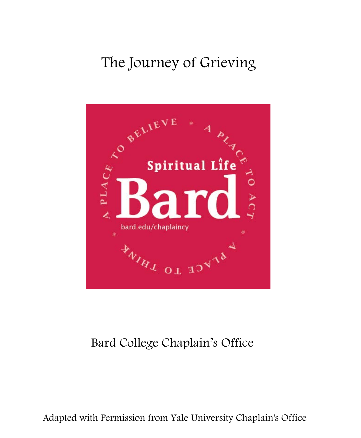# The Journey of Grieving



## Bard College Chaplain's Office

Adapted with Permission from Yale University Chaplain's Office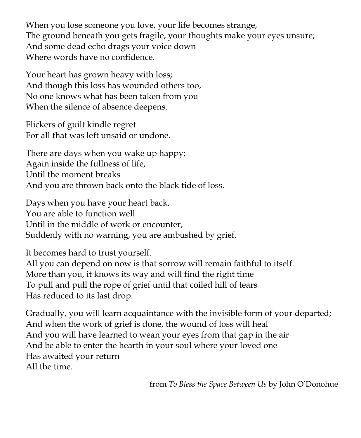When you lose someone you love, your life becomes strange, The ground beneath you gets fragile, your thoughts make your eyes unsure; And some dead echo drags your voice down Where words have no confidence.

Your heart has grown heavy with loss; And though this loss has wounded others too, No one knows what has been taken from you When the silence of absence deepens.

Flickers of guilt kindle regret For all that was left unsaid or undone.

There are days when you wake up happy; Again inside the fullness of life, Until the moment breaks And you are thrown back onto the black tide of loss.

Days when you have your heart back, You are able to function well Until in the middle of work or encounter, Suddenly with no warning, you are ambushed by grief.

It becomes hard to trust yourself.

All you can depend on now is that sorrow will remain faithful to itself. More than you, it knows its way and will find the right time To pull and pull the rope of grief until that coiled hill of tears Has reduced to its last drop.

Gradually, you will learn acquaintance with the invisible form of your departed; And when the work of grief is done, the wound of loss will heal And you will have learned to wean your eyes from that gap in the air And be able to enter the hearth in your soul where your loved one Has awaited your return All the time.

from *To Bless the Space Between Us* by John O'Donohue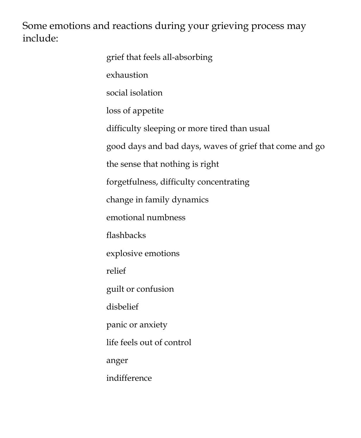Some emotions and reactions during your grieving process may include:

| grief that feels all-absorbing                          |
|---------------------------------------------------------|
| exhaustion                                              |
| social isolation                                        |
| loss of appetite                                        |
| difficulty sleeping or more tired than usual            |
| good days and bad days, waves of grief that come and go |
| the sense that nothing is right                         |
| forgetfulness, difficulty concentrating                 |
| change in family dynamics                               |
| emotional numbness                                      |
| flashbacks                                              |
| explosive emotions                                      |
| relief                                                  |
| guilt or confusion                                      |
| disbelief                                               |
| panic or anxiety                                        |
| life feels out of control                               |
| anger                                                   |
| indifference                                            |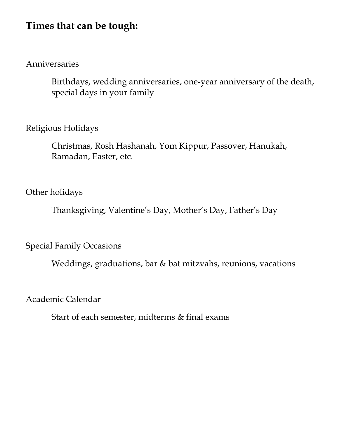## **Times that can be tough:**

#### Anniversaries

Birthdays, wedding anniversaries, one-year anniversary of the death, special days in your family

#### Religious Holidays

Christmas, Rosh Hashanah, Yom Kippur, Passover, Hanukah, Ramadan, Easter, etc.

#### Other holidays

Thanksgiving, Valentine's Day, Mother's Day, Father's Day

Special Family Occasions

Weddings, graduations, bar & bat mitzvahs, reunions, vacations

Academic Calendar

Start of each semester, midterms & final exams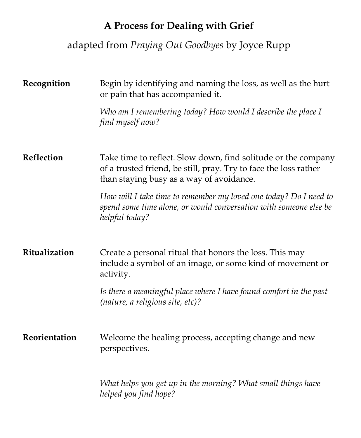## **A Process for Dealing with Grief**

## adapted from *Praying Out Goodbyes* by Joyce Rupp

| Recognition   | Begin by identifying and naming the loss, as well as the hurt<br>or pain that has accompanied it.                                                                             |
|---------------|-------------------------------------------------------------------------------------------------------------------------------------------------------------------------------|
|               | Who am I remembering today? How would I describe the place I<br>find myself now?                                                                                              |
| Reflection    | Take time to reflect. Slow down, find solitude or the company<br>of a trusted friend, be still, pray. Try to face the loss rather<br>than staying busy as a way of avoidance. |
|               | How will I take time to remember my loved one today? Do I need to<br>spend some time alone, or would conversation with someone else be<br>helpful today?                      |
| Ritualization | Create a personal ritual that honors the loss. This may<br>include a symbol of an image, or some kind of movement or<br>activity.                                             |
|               | Is there a meaningful place where I have found comfort in the past<br>(nature, a religious site, etc)?                                                                        |
| Reorientation | Welcome the healing process, accepting change and new<br>perspectives.                                                                                                        |
|               | What helps you get up in the morning? What small things have<br>helped you find hope?                                                                                         |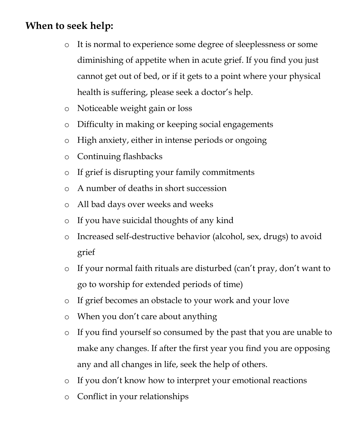## **When to seek help:**

- o It is normal to experience some degree of sleeplessness or some diminishing of appetite when in acute grief. If you find you just cannot get out of bed, or if it gets to a point where your physical health is suffering, please seek a doctor's help.
- o Noticeable weight gain or loss
- o Difficulty in making or keeping social engagements
- o High anxiety, either in intense periods or ongoing
- o Continuing flashbacks
- o If grief is disrupting your family commitments
- o A number of deaths in short succession
- o All bad days over weeks and weeks
- o If you have suicidal thoughts of any kind
- o Increased self-destructive behavior (alcohol, sex, drugs) to avoid grief
- o If your normal faith rituals are disturbed (can't pray, don't want to go to worship for extended periods of time)
- o If grief becomes an obstacle to your work and your love
- o When you don't care about anything
- o If you find yourself so consumed by the past that you are unable to make any changes. If after the first year you find you are opposing any and all changes in life, seek the help of others.
- o If you don't know how to interpret your emotional reactions
- o Conflict in your relationships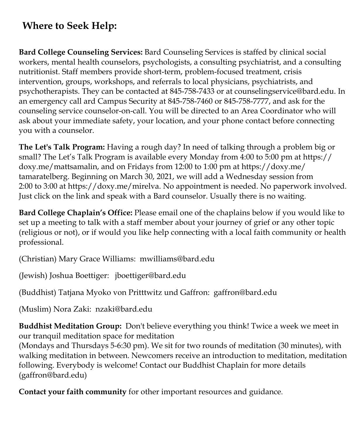## **Where to Seek Help:**

**Bard College Counseling Services:** Bard Counseling Services is staffed by clinical social workers, mental health counselors, psychologists, a consulting psychiatrist, and a consulting nutritionist. Staff members provide short-term, problem-focused treatment, crisis intervention, groups, workshops, and referrals to local physicians, psychiatrists, and psychotherapists. They can be contacted at 845-758-7433 or at counselingservice@bard.edu. In an emergency call ard Campus Security at 845-758-7460 or 845-758-7777, and ask for the counseling service counselor-on-call. You will be directed to an Area Coordinator who will ask about your immediate safety, your location, and your phone contact before connecting you with a counselor.

**The Let's Talk Program:** Having a rough day? In need of talking through a problem big or small? The Let's Talk Program is available every Monday from 4:00 to 5:00 pm at https:// doxy.me/mattsamalin, and on Fridays from 12:00 to 1:00 pm at https://doxy.me/ tamaratelberg. Beginning on March 30, 2021, we will add a Wednesday session from 2:00 to 3:00 at https://doxy.me/mirelva. No appointment is needed. No paperwork involved. Just click on the link and speak with a Bard counselor. Usually there is no waiting.

**Bard College Chaplain's Office:** Please email one of the chaplains below if you would like to set up a meeting to talk with a staff member about your journey of grief or any other topic (religious or not), or if would you like help connecting with a local faith community or health professional.

(Christian) Mary Grace Williams: mwilliams@bard.edu

(Jewish) Joshua Boettiger: jboettiger@bard.edu

(Buddhist) Tatjana Myoko von Pritttwitz und Gaffron: gaffron@bard.edu

(Muslim) Nora Zaki: nzaki@bard.edu

**Buddhist Meditation Group:** Don't believe everything you think! Twice a week we meet in our tranquil meditation space for meditation

(Mondays and Thursdays 5-6:30 pm). We sit for two rounds of meditation (30 minutes), with walking meditation in between. Newcomers receive an introduction to meditation, meditation following. Everybody is welcome! Contact our Buddhist Chaplain for more details (gaffron@bard.edu)

**Contact your faith community** for other important resources and guidance.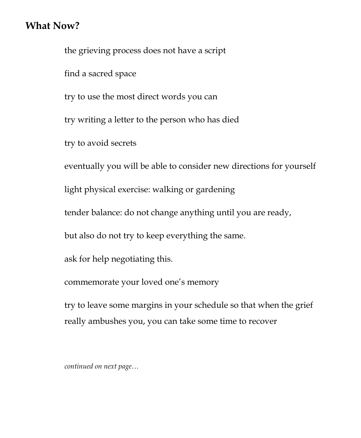### **What Now?**

the grieving process does not have a script find a sacred space try to use the most direct words you can try writing a letter to the person who has died try to avoid secrets eventually you will be able to consider new directions for yourself light physical exercise: walking or gardening tender balance: do not change anything until you are ready, but also do not try to keep everything the same. ask for help negotiating this. commemorate your loved one's memory try to leave some margins in your schedule so that when the grief

really ambushes you, you can take some time to recover

*continued on next page…*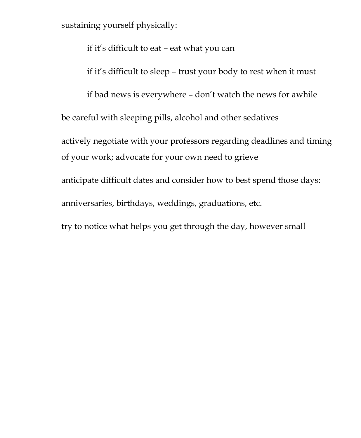sustaining yourself physically:

if it's difficult to eat – eat what you can

if it's difficult to sleep – trust your body to rest when it must

if bad news is everywhere – don't watch the news for awhile

be careful with sleeping pills, alcohol and other sedatives

actively negotiate with your professors regarding deadlines and timing of your work; advocate for your own need to grieve

anticipate difficult dates and consider how to best spend those days:

anniversaries, birthdays, weddings, graduations, etc.

try to notice what helps you get through the day, however small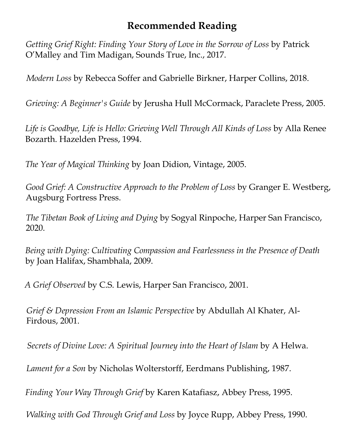## **Recommended Reading**

*Getting Grief Right: Finding Your Story of Love in the Sorrow of Loss* by Patrick O'Malley and Tim Madigan, Sounds True, Inc., 2017.

*Modern Loss* by Rebecca Soffer and Gabrielle Birkner, Harper Collins, 2018.

*Grieving: A Beginner's Guide* by Jerusha Hull McCormack, Paraclete Press, 2005.

*Life is Goodbye, Life is Hello: Gri[eving Well Through All Kinds](http://www.amazon.com/s/102-8960229-6549765?ie=UTF8&index=books&rank=-relevance%252C%252Bavailability%252C-daterank&field-author-exact=McCormack%252C%20Jerusha%20Hull) of Loss* by Alla Renee Bozarth. Hazelden Press, 1994.

*The Year of Magical Thinking* by Joan Didion, Vintage, 2005.

*Good Grief: A Constructive Approach to the Problem of Loss* by Granger E. Westberg, Augsburg Fortress Press.

*The Tibetan Book of Living and Dying* by Sogyal Rinpoche, Harper San Francisco, 2020.

*Being with Dying: Cultivating Compassion and Fearlessness in the Presence of Death*  by Joan Halifax, Shambhala, 2009.

*A Grief Observed* by C.S. Lewis, Harper San Francisco, 2001.

*Grief & Depression From an Islamic Perspective* by Abdullah Al Khater, Al-Firdous, 2001.

*Secrets of Divine Love: A Spiritual Journey into the Heart of Islam* by A Helwa.

*Lament for a Son* by Nicholas Wolterstorff, Eerdmans Publishing, 1987.

*Finding Your Way Through Grief* by Karen Katafiasz, Abbey Press, 1995.

*Walking with God Through Grief and Loss* by Joyce Rupp, Abbey Press, 1990.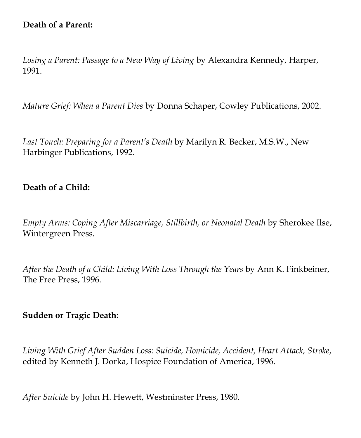### **Death of a Parent:**

*Losing a Parent: Passage to a New Way of Living* by Alexandra Kennedy, Harper, 1991.

*Mature Grief: When a Parent Dies* by Donna Schaper, Cowley Publications, 2002.

*Last Touch: Preparing for a Parent's Death* by Marilyn R. Becker, M.S.W., New Harbinger Publications, 1992.

#### **Death of a Child:**

*Empty Arms: Coping After Miscarriage, Stillbirth, or Neonatal Death* by Sherokee Ilse, Wintergreen Press.

*After the Death of a Child: Living With Loss Through the Years* by Ann K. Finkbeiner, The Free Press, 1996.

#### **Sudden or Tragic Death:**

*Living With Grief After Sudden Loss: Suicide, Homicide, Accident, Heart Attack, Stroke*, edited by Kenneth J. Dorka, Hospice Foundation of America, 1996.

*After Suicide* by John H. Hewett, Westminster Press, 1980.